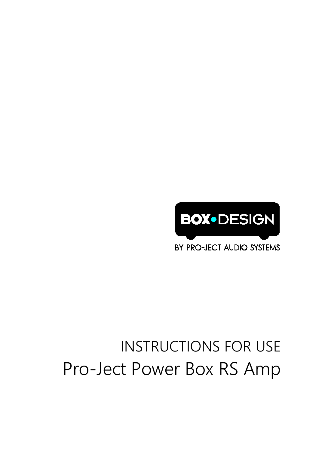# **BOX•DESIGN** BY PRO-JECT AUDIO SYSTEMS

# INSTRUCTIONS FOR USE Pro-Ject Power Box RS Amp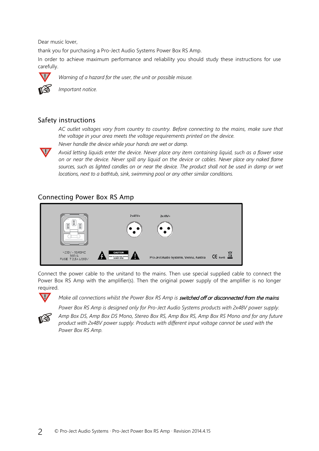Dear music lover,

thank you for purchasing a Pro-Ject Audio Systems Power Box RS Amp.

In order to achieve maximum performance and reliability you should study these instructions for use carefully.



**!**

*Warning of a hazard for the user, the unit or possible misuse.*

*Important notice.*

#### Safety instructions

*AC outlet voltages vary from country to country. Before connecting to the mains, make sure that the voltage in your area meets the voltage requirements printed on the device.*

*Never handle the device while your hands are wet or damp.*

*Avoid letting liquids enter the device. Never place any item containing liquid, such as a flower vase on or near the device. Never spill any liquid on the device or cables. Never place any naked flame*  sources, such as lighted candles on or near the device. The product shall not be used in damp or wet *locations, next to a bathtub, sink, swimming pool or any other similar conditions.*

# Connecting Power Box RS Amp



Connect the power cable to the unitand to the mains. Then use special supplied cable to connect the Power Box RS Amp with the amplifier(s). Then the original power supply of the amplifier is no longer required.



*Make all connections whilst the Power Box RS Amp is* switched off or disconnected from the mains*.*



*Power Box RS Amp is designed only for Pro-Ject Audio Systems products with 2x48V power supply. Amp Box DS, Amp Box DS Mono, Stereo Box RS, Amp Box RS, Amp Box RS Mono and for any future product with 2x48V power supply. Products with different input voltage cannot be used with the Power Box RS Amp.*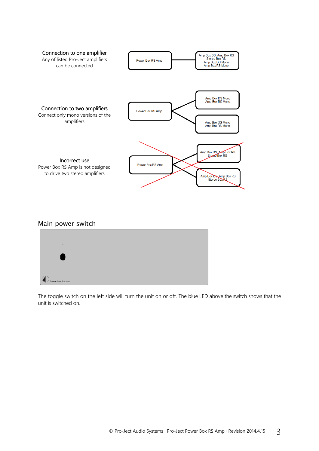

#### Main power switch



The toggle switch on the left side will turn the unit on or off. The blue LED above the switch shows that the unit is switched on.